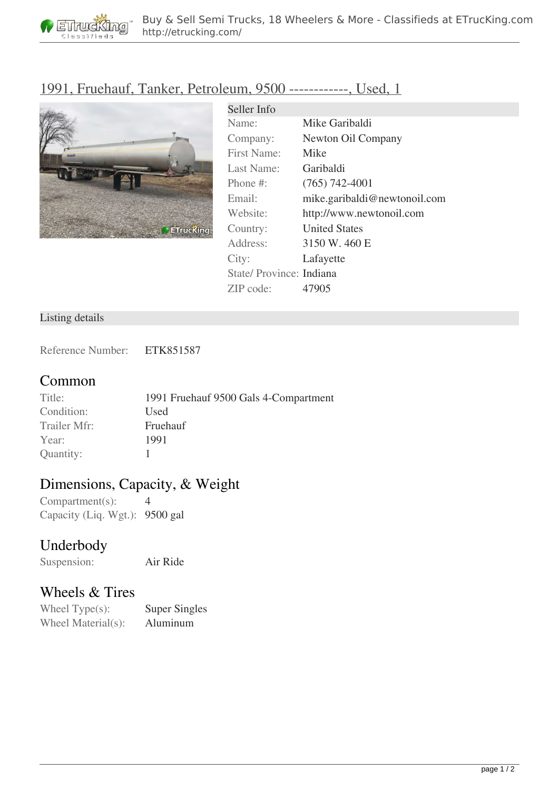

## [1991, Fruehauf, Tanker, Petroleum, 9500 ------------, Used, 1](http://etrucking.com/trailers/tanker/tanker-petroleum/1991-fruehauf-tanker-petroleum-9500-used-1-17020.html)



| Seller Info              |                              |
|--------------------------|------------------------------|
| Name:                    | Mike Garibaldi               |
| Company:                 | Newton Oil Company           |
| First Name:              | Mike                         |
| Last Name:               | Garibaldi                    |
| Phone $\#$ :             | $(765)$ 742-4001             |
| Email:                   | mike.garibaldi@newtonoil.com |
| Website:                 | http://www.newtonoil.com     |
| Country:                 | <b>United States</b>         |
| Address:                 | 3150 W. 460 E                |
| City:                    | Lafayette                    |
| State/ Province: Indiana |                              |
| ZIP code:                | 47905                        |

#### Listing details

Reference Number: ETK851587

#### **Common**

| Title:       | 1991 Fruehauf 9500 Gals 4-Compartment |
|--------------|---------------------------------------|
| Condition:   | Used                                  |
| Trailer Mfr: | Fruehauf                              |
| Year:        | 1991                                  |
| Quantity:    |                                       |

# **Dimensions, Capacity, & Weight**

 $Comment(s):$  4 Capacity (Liq. Wgt.): 9500 gal

### **Underbody**

Suspension: Air Ride

### **Wheels & Tires**

Wheel Type(s): Super Singles Wheel Material(s): Aluminum